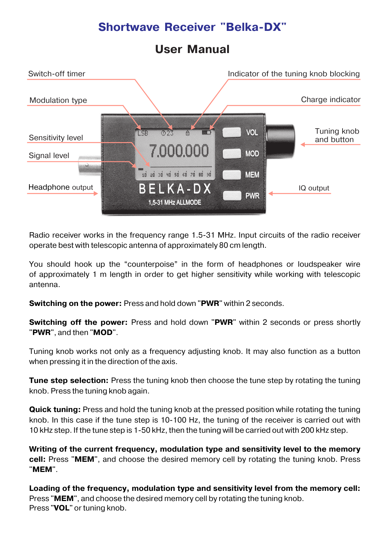### **User Manual**



Radio receiver works in the frequency range 1.5-31 MHz. Input circuits of the radio receiver operate best with telescopic antenna of approximately 80 cm length.

You should hook up the "counterpoise" in the form of headphones or loudspeaker wire of approximately 1 m length in order to get higher sensitivity while working with telescopic antenna.

**Switching on the power:** Press and hold down "**PWR**" within 2 seconds.

**Switching off the power:** Press and hold down "PWR" within 2 seconds or press shortly "**PWR**", and then "**MOD**".

Tuning knob works not only as a frequency adjusting knob. It may also function as a button when pressing it in the direction of the axis.

**Tune step selection:** Press the tuning knob then choose the tune step by rotating the tuning knob. Press the tuning knob again.

**Quick tuning:** Press and hold the tuning knob at the pressed position while rotating the tuning knob. In this case if the tune step is 10-100 Hz, the tuning of the receiver is carried out with 10 kHz step. If the tune step is 1-50 kHz, then the tuning will be carried out with 200 kHz step.

**Writing of the current frequency, modulation type and sensitivity level to the memory cell:** Press "**MEM**", and choose the desired memory cell by rotating the tuning knob. Press "**MEM**".

**Loading of the frequency, modulation type and sensitivity level from the memory cell:**  Press "**MEM**", and choose the desired memory cell by rotating the tuning knob. Press "**VOL**" or tuning knob.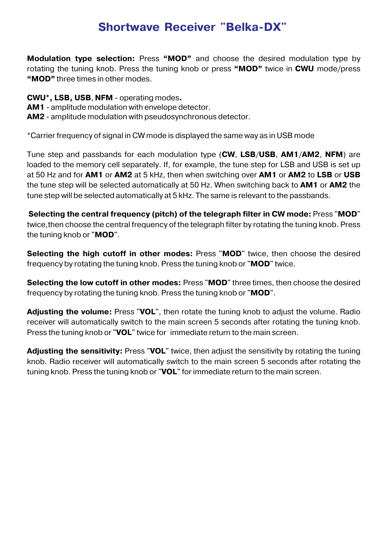**Modulation type selection:** Press **"MOD"** and choose the desired modulation type by rotating the tuning knob. Press the tuning knob or press **"MOD"** twice in **CWU** mode/press **"MOD"** three times in other modes.

**CWU\*, LSB, USB**, **NFM** - operating modes**.**

**AM1** - amplitude modulation with envelope detector.

**AM2** - amplitude modulation with pseudosynchronous detector.

\*Сarrier frequency of signal in CW mode is displayed the same way as in USB mode

Tune step and passbands for each modulation type (**CW**, **LSB**/**USB**, **AM1**/**AM2**, **NFM**) are loaded to the memory cell separately. If, for example, the tune step for LSB and USB is set up at 50 Hz and for **AM1** or **AM2** at 5 kHz, then when switching over **AM1** or **AM2** to **LSB** or **USB** the tune step will be selected automatically at 50 Hz. When switching back to **AM1** or **AM2** the tune step will be selected automatically at 5 kHz. The same is relevant to the passbands.

**Selecting the central frequency (pitch) of the telegraph filter in CW mode:** Press "**MOD**" twice,then choose the central frequency of the telegraph filter by rotating the tuning knob. Press the tuning knob or "**MOD**".

**Selecting the high cutoff in other modes:** Press "**MOD**" twice, then choose the desired frequency by rotating the tuning knob. Press the tuning knob or "**MOD**" twice.

**Selecting the low cutoff in other modes:** Press "**MOD**" three times, then choose the desired frequency by rotating the tuning knob. Press the tuning knob or "**MOD**".

**Adjusting the volume:** Press "**VOL**", then rotate the tuning knob to adjust the volume. Radio receiver will automatically switch to the main screen 5 seconds after rotating the tuning knob. Press the tuning knob or "**VOL**" twice for immediate return to the main screen.

**Adjusting the sensitivity:** Press "**VOL**" twice, then adjust the sensitivity by rotating the tuning knob. Radio receiver will automatically switch to the main screen 5 seconds after rotating the tuning knob. Press the tuning knob or "**VOL**" for immediate return to the main screen.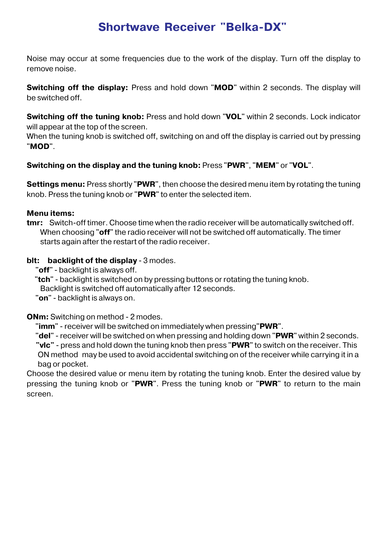Noise may occur at some frequencies due to the work of the display. Turn off the display to remove noise.

**Switching off the display:** Press and hold down "**MOD**" within 2 seconds. The display will be switched off.

**Switching off the tuning knob:** Press and hold down "**VOL**" within 2 seconds. Lock indicator will appear at the top of the screen.

When the tuning knob is switched off, switching on and off the display is carried out by pressing "**MOD**".

### **Switching on the display and the tuning knob:** Press "**PWR**", "**MEM**" or "**VOL**".

**Settings menu:** Press shortly "**PWR**", then choose the desired menu item by rotating the tuning knob. Press the tuning knob or "**PWR**" to enter the selected item.

#### **Menu items:**

**tmr:** Switch-off timer. Choose time when the radio receiver will be automatically switched off. When choosing "**off**" the radio receiver will not be switched off automatically. The timer starts again after the restart of the radio receiver.

#### **blt:** backlight of the display - 3 modes.

"**off**" - backlight is always off.

"**tch**" - backlight is switched on by pressing buttons or rotating the tuning knob.

Backlight is switched off automatically after 12 seconds.

"**on**" - backlight is always on.

#### **ONm:** Switching on method - 2 modes.

"**imm**" - receiver will be switched on immediately when pressing"**PWR**".

"**del**" - receiver will be switched on when pressing and holding down "**PWR**" within 2 seconds.

 **"vlc"** - press and hold down the tuning knob then press "**PWR**" to switch on the receiver. This ON method may be used to avoid accidental switching on of the receiver while carrying it in a bag or pocket.

Choose the desired value or menu item by rotating the tuning knob. Enter the desired value by pressing the tuning knob or "**PWR**". Press the tuning knob or "**PWR**" to return to the main screen.